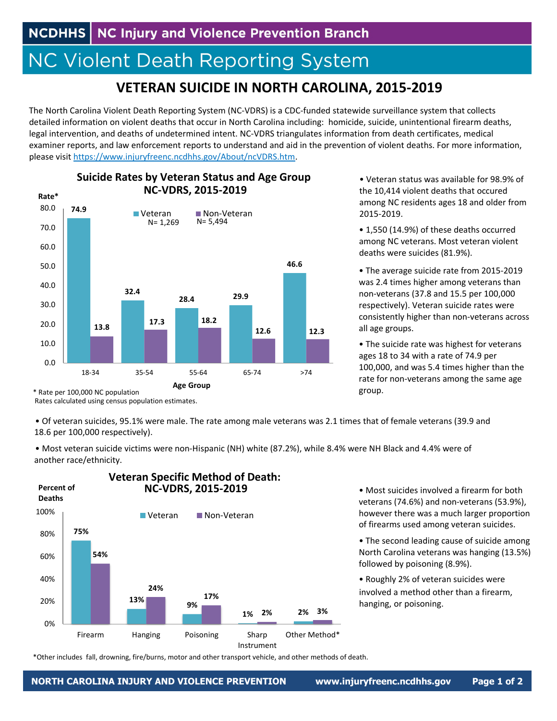## **NC Violent Death Reporting System**

**Suicide Rates by Veteran Status and Age Group**

## **VETERAN SUICIDE IN NORTH CAROLINA, 2015‐2019**

The North Carolina Violent Death Reporting System (NC‐VDRS) is a CDC‐funded statewide surveillance system that collects detailed information on violent deaths that occur in North Carolina including: homicide, suicide, unintentional firearm deaths, legal intervention, and deaths of undetermined intent. NC‐VDRS triangulates information from death certificates, medical examiner reports, and law enforcement reports to understand and aid in the prevention of violent deaths. For more information, please visit https://www.injuryfreenc.ncdhhs.gov/About/ncVDRS.htm.



• Veteran status was available for 98.9% of the 10,414 violent deaths that occured among NC residents ages 18 and older from 2015‐2019.

• 1,550 (14.9%) of these deaths occurred among NC veterans. Most veteran violent deaths were suicides (81.9%).

• The average suicide rate from 2015‐2019 was 2.4 times higher among veterans than non‐veterans (37.8 and 15.5 per 100,000 respectively). Veteran suicide rates were consistently higher than non‐veterans across all age groups.

• The suicide rate was highest for veterans ages 18 to 34 with a rate of 74.9 per 100,000, and was 5.4 times higher than the rate for non‐veterans among the same age group.

\* Rate per 100,000 NC population

Rates calculated using census population estimates.

• Of veteran suicides, 95.1% were male. The rate among male veterans was 2.1 times that of female veterans (39.9 and 18.6 per 100,000 respectively).

• Most veteran suicide victims were non‐Hispanic (NH) white (87.2%), while 8.4% were NH Black and 4.4% were of another race/ethnicity.



• Most suicides involved a firearm for both veterans (74.6%) and non‐veterans (53.9%), however there was a much larger proportion of firearms used among veteran suicides.

• The second leading cause of suicide among North Carolina veterans was hanging (13.5%) followed by poisoning (8.9%).

• Roughly 2% of veteran suicides were involved a method other than a firearm, hanging, or poisoning.

\*Other includes fall, drowning, fire/burns, motor and other transport vehicle, and other methods of death.